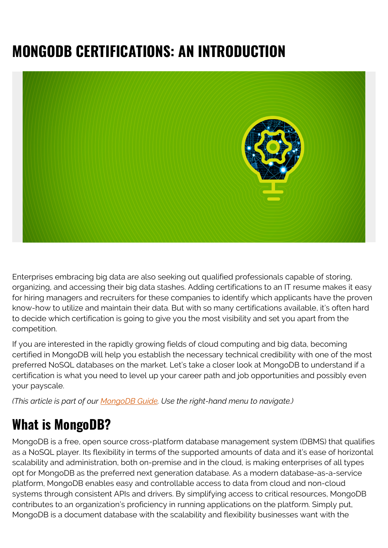# **MONGODB CERTIFICATIONS: AN INTRODUCTION**



Enterprises embracing big data are also seeking out qualified professionals capable of storing, organizing, and accessing their big data stashes. Adding certifications to an IT resume makes it easy for hiring managers and recruiters for these companies to identify which applicants have the proven know-how to utilize and maintain their data. But with so many certifications available, it's often hard to decide which certification is going to give you the most visibility and set you apart from the competition.

If you are interested in the rapidly growing fields of cloud computing and big data, becoming certified in MongoDB will help you establish the necessary technical credibility with one of the most preferred NoSQL databases on the market. Let's take a closer look at MongoDB to understand if a certification is what you need to level up your career path and job opportunities and possibly even your payscale.

*(This article is part of our [MongoDB Guide](https://blogs.bmc.com/blogs/mongodb-overview-getting-started-with-mongodb/). Use the right-hand menu to navigate.)*

#### **What is MongoDB?**

MongoDB is a free, open source cross-platform database management system (DBMS) that qualifies as a NoSQL player. Its flexibility in terms of the supported amounts of data and it's ease of horizontal scalability and administration, both on-premise and in the cloud, is making enterprises of all types opt for MongoDB as the preferred next generation database. As a modern database-as-a-service platform, MongoDB enables easy and controllable access to data from cloud and non-cloud systems through consistent APIs and drivers. By simplifying access to critical resources, MongoDB contributes to an organization's proficiency in running applications on the platform. Simply put, MongoDB is a document database with the scalability and flexibility businesses want with the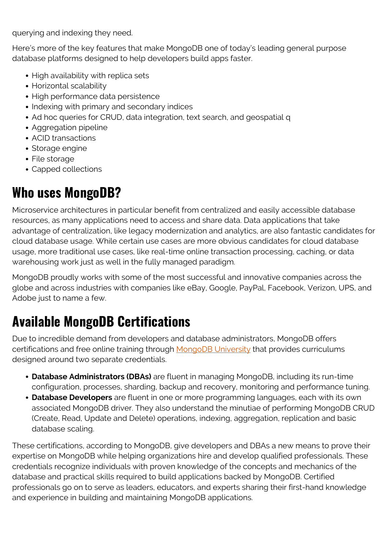querying and indexing they need.

Here's more of the key features that make MongoDB one of today's leading general purpose database platforms designed to help developers build apps faster.

- High availability with replica sets
- Horizontal scalability
- High performance data persistence
- Indexing with primary and secondary indices
- Ad hoc queries for CRUD, data integration, text search, and geospatial q
- Aggregation pipeline
- ACID transactions
- Storage engine
- File storage
- Capped collections

#### **Who uses MongoDB?**

Microservice architectures in particular benefit from centralized and easily accessible database resources, as many applications need to access and share data. Data applications that take advantage of centralization, like legacy modernization and analytics, are also fantastic candidates for cloud database usage. While certain use cases are more obvious candidates for cloud database usage, more traditional use cases, like real-time online transaction processing, caching, or data warehousing work just as well in the fully managed paradigm.

MongoDB proudly works with some of the most successful and innovative companies across the globe and across industries with companies like eBay, Google, PayPal, Facebook, Verizon, UPS, and Adobe just to name a few.

# **Available MongoDB Certifications**

Due to incredible demand from developers and database administrators, MongoDB offers certifications and free online training through [MongoDB University](https://university.mongodb.com/) that provides curriculums designed around two separate credentials.

- **Database Administrators (DBAs)** are fluent in managing MongoDB, including its run-time configuration, processes, sharding, backup and recovery, monitoring and performance tuning.
- **Database Developers** are fluent in one or more programming languages, each with its own associated MongoDB driver. They also understand the minutiae of performing MongoDB CRUD (Create, Read, Update and Delete) operations, indexing, aggregation, replication and basic database scaling.

These certifications, according to MongoDB, give developers and DBAs a new means to prove their expertise on MongoDB while helping organizations hire and develop qualified professionals. These credentials recognize individuals with proven knowledge of the concepts and mechanics of the database and practical skills required to build applications backed by MongoDB. Certified professionals go on to serve as leaders, educators, and experts sharing their first-hand knowledge and experience in building and maintaining MongoDB applications.